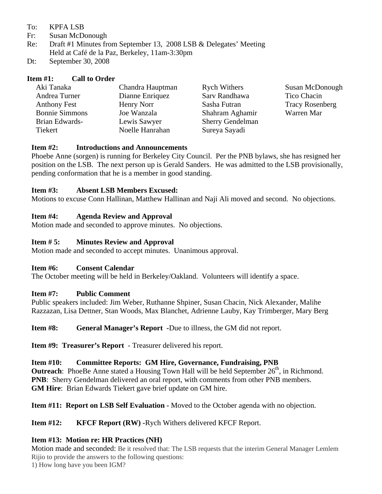#### To: KPFA LSB

- Fr: Susan McDonough
- Re: Draft #1 Minutes from September 13, 2008 LSB & Delegates' Meeting Held at Café de la Paz, Berkeley, 11am-3:30pm
- Dt: September 30, 2008

## **Item #1: Call to Order**

| Aki Tanaka            | Chandra Hauptman | <b>Rych Withers</b>     | Susan McDonough        |
|-----------------------|------------------|-------------------------|------------------------|
| Andrea Turner         | Dianne Enriquez  | Sarv Randhawa           | Tico Chacin            |
| <b>Anthony Fest</b>   | Henry Norr       | Sasha Futran            | <b>Tracy Rosenberg</b> |
| <b>Bonnie Simmons</b> | Joe Wanzala      | Shahram Aghamir         | Warren Mar             |
| Brian Edwards-        | Lewis Sawyer     | <b>Sherry Gendelman</b> |                        |
| Tiekert               | Noelle Hanrahan  | Sureya Sayadi           |                        |

### **Item #2: Introductions and Announcements**

Phoebe Anne (sorgen) is running for Berkeley City Council. Per the PNB bylaws, she has resigned her position on the LSB. The next person up is Gerald Sanders. He was admitted to the LSB provisionally, pending conformation that he is a member in good standing.

### **Item #3: Absent LSB Members Excused:**

Motions to excuse Conn Hallinan, Matthew Hallinan and Naji Ali moved and second. No objections.

### **Item #4: Agenda Review and Approval**

Motion made and seconded to approve minutes. No objections.

### **Item # 5: Minutes Review and Approval**

Motion made and seconded to accept minutes. Unanimous approval.

### **Item #6: Consent Calendar**

The October meeting will be held in Berkeley/Oakland. Volunteers will identify a space.

### **Item #7: Public Comment**

Public speakers included: Jim Weber, Ruthanne Shpiner, Susan Chacin, Nick Alexander, Malihe Razzazan, Lisa Dettner, Stan Woods, Max Blanchet, Adrienne Lauby, Kay Trimberger, Mary Berg

**Item #8:** General Manager's Report -Due to illness, the GM did not report.

**Item #9: Treasurer's Report** - Treasurer delivered his report.

### **Item #10: Committee Reports: GM Hire, Governance, Fundraising, PNB**

**Outreach**: PhoeBe Anne stated a Housing Town Hall will be held September 26<sup>th</sup>, in Richmond. **PNB**: Sherry Gendelman delivered an oral report, with comments from other PNB members. **GM Hire**: Brian Edwards Tiekert gave brief update on GM hire.

**Item #11: Report on LSB Self Evaluation -** Moved to the October agenda with no objection.

### **Item #12: KFCF Report (RW) -**Rych Withers delivered KFCF Report.

# **Item #13: Motion re: HR Practices (NH)**

Motion made and seconded: Be it resolved that: The LSB requests that the interim General Manager Lemlem Rijio to provide the answers to the following questions:

1) How long have you been IGM?